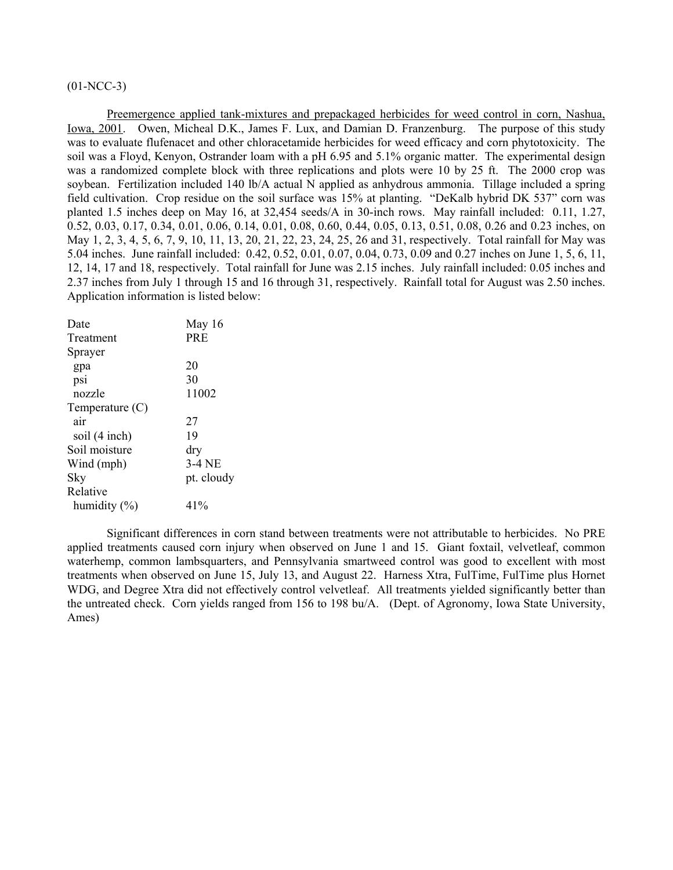# $(01-NCC-3)$

Preemergence applied tank-mixtures and prepackaged herbicides for weed control in corn, Nashua, Iowa, 2001. Owen, Micheal D.K., James F. Lux, and Damian D. Franzenburg. The purpose of this study was to evaluate flufenacet and other chloracetamide herbicides for weed efficacy and corn phytotoxicity. The soil was a Floyd, Kenyon, Ostrander loam with a pH 6.95 and 5.1% organic matter. The experimental design was a randomized complete block with three replications and plots were 10 by 25 ft. The 2000 crop was soybean. Fertilization included 140 lb/A actual N applied as anhydrous ammonia. Tillage included a spring field cultivation. Crop residue on the soil surface was 15% at planting. "DeKalb hybrid DK 537" corn was planted 1.5 inches deep on May 16, at 32,454 seeds/A in 30-inch rows. May rainfall included: 0.11, 1.27, 0.52, 0.03, 0.17, 0.34, 0.01, 0.06, 0.14, 0.01, 0.08, 0.60, 0.44, 0.05, 0.13, 0.51, 0.08, 0.26 and 0.23 inches, on May 1, 2, 3, 4, 5, 6, 7, 9, 10, 11, 13, 20, 21, 22, 23, 24, 25, 26 and 31, respectively. Total rainfall for May was 5.04 inches. June rainfall included: 0.42, 0.52, 0.01, 0.07, 0.04, 0.73, 0.09 and 0.27 inches on June 1, 5, 6, 11, 12, 14, 17 and 18, respectively. Total rainfall for June was 2.15 inches. July rainfall included: 0.05 inches and 2.37 inches from July 1 through 15 and 16 through 31, respectively. Rainfall total for August was 2.50 inches. Application information is listed below:

| Date              | May 16     |
|-------------------|------------|
| Treatment         | <b>PRE</b> |
| Sprayer           |            |
| gpa               | 20         |
| psi               | 30         |
| nozzle            | 11002      |
| Temperature $(C)$ |            |
| air               | 27         |
| soil (4 inch)     | 19         |
| Soil moisture     | dry        |
| Wind (mph)        | $3-4$ NE   |
| Sky               | pt. cloudy |
| Relative          |            |
| humidity $(\% )$  | 41%        |

 Significant differences in corn stand between treatments were not attributable to herbicides. No PRE applied treatments caused corn injury when observed on June 1 and 15. Giant foxtail, velvetleaf, common waterhemp, common lambsquarters, and Pennsylvania smartweed control was good to excellent with most treatments when observed on June 15, July 13, and August 22. Harness Xtra, FulTime, FulTime plus Hornet WDG, and Degree Xtra did not effectively control velvetleaf. All treatments yielded significantly better than the untreated check. Corn yields ranged from 156 to 198 bu/A. (Dept. of Agronomy, Iowa State University, Ames)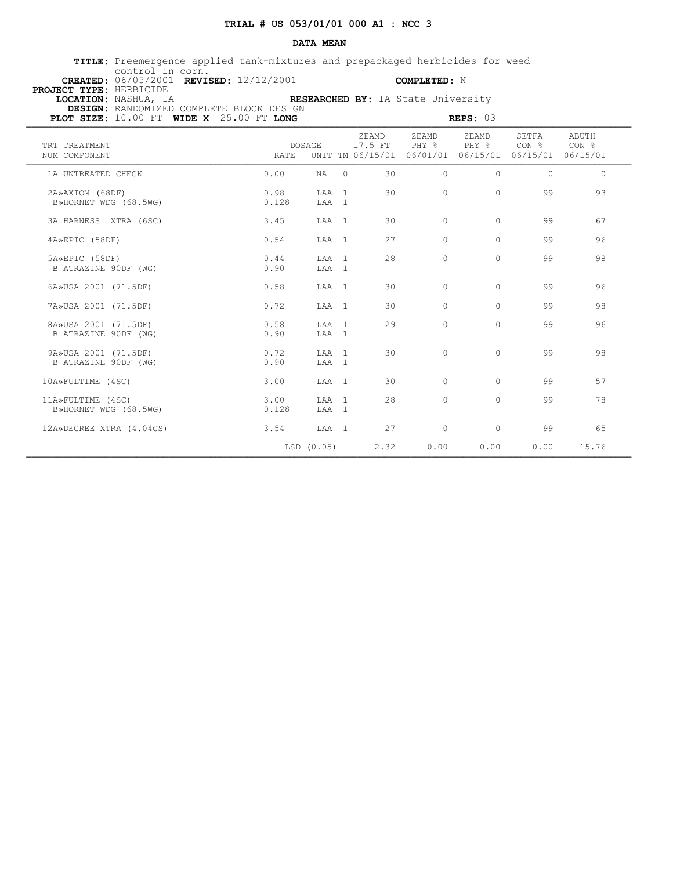## **DATA MEAN**

 **TITLE:** Preemergence applied tank-mixtures and prepackaged herbicides for weed control in corn.  **CREATED:** 06/05/2001 **REVISED:** 12/12/2001 **COMPLETED:** N

 **PROJECT TYPE:** HERBICIDE  **DESIGN:** RANDOMIZED COMPLETE BLOCK DESIGN

 **LOCATION:** NASHUA, IA **RESEARCHED BY:** IA State University

**PLOT SIZE:** 10.00 FT WIDE X 25.00 FT LONG **REPS: 03** 

| TRT TREATMENT<br>NUM COMPONENT               | RATE          | <b>DOSAGE</b>   |          | ZEAMD<br>17.5 FT<br>UNIT TM 06/15/01 | ZEAMD<br>PHY %<br>06/01/01 06/15/01 | ZEAMD<br>PHY % | SETFA<br>CON % CON %<br>06/15/01 06/15/01 | ABUTH      |
|----------------------------------------------|---------------|-----------------|----------|--------------------------------------|-------------------------------------|----------------|-------------------------------------------|------------|
| 1A UNTREATED CHECK                           | 0.00          | NA              | $\Omega$ | 30                                   | $\bigcap$                           | $\Omega$       | $\Omega$                                  | $\bigcirc$ |
| 2A»AXIOM (68DF)<br>B»HORNET WDG (68.5WG)     | 0.98<br>0.128 | T.AA 1<br>LAA 1 |          | 30                                   | $\Omega$                            | $\Omega$       | 99                                        | 93         |
| 3A HARNESS XTRA (6SC)                        | 3.45          | LAA 1           |          | 30                                   | $\Omega$                            | $\Omega$       | 99                                        | 67         |
| 4A»EPIC (58DF)                               | 0.54          | LAA 1           |          | 27                                   | $\Omega$                            | $\Omega$       | 99                                        | 96         |
| 5A»EPIC (58DF)<br>B ATRAZINE 90DF (WG)       | 0.44<br>0.90  | T.AA 1<br>LAA 1 |          | 2.8                                  | $\Omega$                            | $\circ$        | 99                                        | 98         |
| 6A»USA 2001 (71.5DF)                         | 0.58          | LAA 1           |          | 30                                   | $\bigcap$                           | $\Omega$       | 99                                        | 96         |
| 7A»USA 2001 (71.5DF)                         | 0.72          | LAA 1           |          | 30                                   | $\bigcap$                           | $\Omega$       | 99                                        | 98         |
| 8A»USA 2001 (71.5DF)<br>B ATRAZINE 90DF (WG) | 0.58<br>0.90  | LAA 1<br>T.AA 1 |          | 29                                   | $\bigcap$                           | $\Omega$       | 99                                        | 96         |
| 9A»USA 2001 (71.5DF)<br>B ATRAZINE 90DF (WG) | 0.72<br>0.90  | LAA 1<br>LAA 1  |          | 30                                   | $\Omega$                            | $\Omega$       | 99                                        | 98         |
| 10A»FULTIME (4SC)                            | 3.00          | LAA 1           |          | 30                                   | $\Omega$                            | $\Omega$       | 99                                        | 57         |
| 11A»FULTIME (4SC)<br>B»HORNET WDG (68.5WG)   | 3.00<br>0.128 | T.AA 1<br>LAA 1 |          | 28                                   | $\bigcap$                           | $\Omega$       | 99                                        | 78         |
| 12A»DEGREE XTRA (4.04CS)                     | 3.54          | LAA 1           |          | 2.7                                  | $\Omega$                            | $\circ$        | 99                                        | 65         |
|                                              |               | LSD (0.05)      |          | 2.32                                 | 0.00                                | 0.00           | 0.00                                      | 15.76      |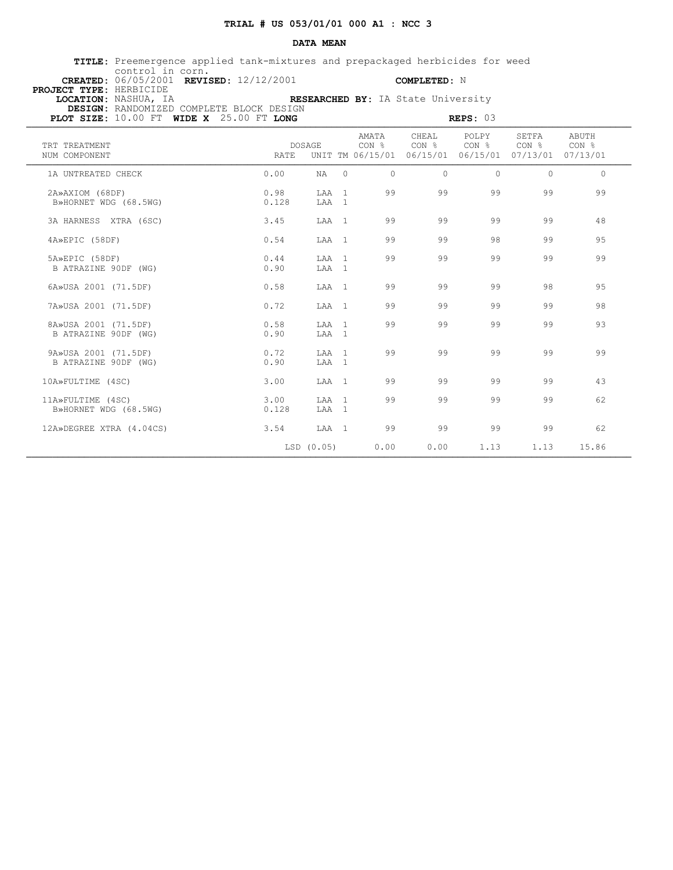## **DATA MEAN**

 **TITLE:** Preemergence applied tank-mixtures and prepackaged herbicides for weed control in corn.  **CREATED:** 06/05/2001 **REVISED:** 12/12/2001 **COMPLETED:** N

 **PROJECT TYPE:** HERBICIDE  **LOCATION:** NASHUA, IA **RESEARCHED BY:** IA State University

 **DESIGN:** RANDOMIZED COMPLETE BLOCK DESIGN **PLOT SIZE: 10.00 FT WIDE X** 25.00 FT **LONG**  $\blacksquare$  **REPS: 03** 

| AMATA<br>CHEAL<br>POLPY<br>SETFA<br>ABUTH<br>$CON \;$ % $CON \;$ % $CON \;$ % $CON \;$ % $CON \;$ %<br>CON <sub>8</sub><br>TRT TREATMENT<br>DOSAGE<br>UNIT TM 06/15/01 06/15/01 06/15/01 07/13/01 07/13/01<br>NUM COMPONENT<br>RATE<br>0.00<br>$\Omega$<br>$\bigcap$<br>$\Omega$<br>$\Omega$<br>1A UNTREATED CHECK<br>$NA$ 0 | $\Omega$<br>99 |
|------------------------------------------------------------------------------------------------------------------------------------------------------------------------------------------------------------------------------------------------------------------------------------------------------------------------------|----------------|
|                                                                                                                                                                                                                                                                                                                              |                |
|                                                                                                                                                                                                                                                                                                                              |                |
| 99<br>0.98<br>99<br>99<br>99<br>LAA 1<br>2A»AXIOM (68DF)<br>0.128<br>LAA 1<br>B»HORNET WDG (68.5WG)                                                                                                                                                                                                                          |                |
| 99<br>99<br>99<br>99<br>3A HARNESS XTRA (6SC)<br>3.45<br>LAA 1                                                                                                                                                                                                                                                               | 48             |
| 99<br>99<br>98<br>99<br>0.54<br>4A»EPIC (58DF)<br>LAA 1                                                                                                                                                                                                                                                                      | 95             |
| 99<br>99<br>99<br>99<br>0.44<br>LAA 1<br>5A»EPIC (58DF)<br>B ATRAZINE 90DF (WG)<br>0.90<br>LAA 1                                                                                                                                                                                                                             | 99             |
| 99<br>99<br>99<br>98<br>6A»USA 2001 (71.5DF)<br>0.58<br>LAA 1                                                                                                                                                                                                                                                                | 95             |
| 99<br>99<br>99<br>99<br>0.72<br>7A»USA 2001 (71.5DF)<br>LAA 1                                                                                                                                                                                                                                                                | 98             |
| 99<br>99<br>99<br>99<br>8A»USA 2001 (71.5DF)<br>0.58<br>LAA 1<br>B ATRAZINE 90DF (WG)<br>0.90<br>LAA 1                                                                                                                                                                                                                       | 93             |
| 99<br>99<br>9A»USA 2001 (71.5DF)<br>0.72<br>99<br>99<br>T.AA 1<br>B ATRAZINE 90DF (WG)<br>0.90<br>LAA 1                                                                                                                                                                                                                      | 99             |
| 99<br>99<br>99<br>10A»FULTIME (4SC)<br>3.00<br>LAA 1<br>99                                                                                                                                                                                                                                                                   | 43             |
| 99<br>99<br>99<br>99<br>3.00<br>LAA 1<br>11A»FULTIME (4SC)<br>B»HORNET WDG (68.5WG)<br>LAA 1<br>0.128                                                                                                                                                                                                                        | 62             |
| 99<br>99<br>99<br>99<br>12A»DEGREE XTRA (4.04CS)<br>3.54 LAA 1                                                                                                                                                                                                                                                               | 62             |
| $LSD$ $(0.05)$<br>0.00<br>1.13<br>1.13<br>0.00                                                                                                                                                                                                                                                                               | 15.86          |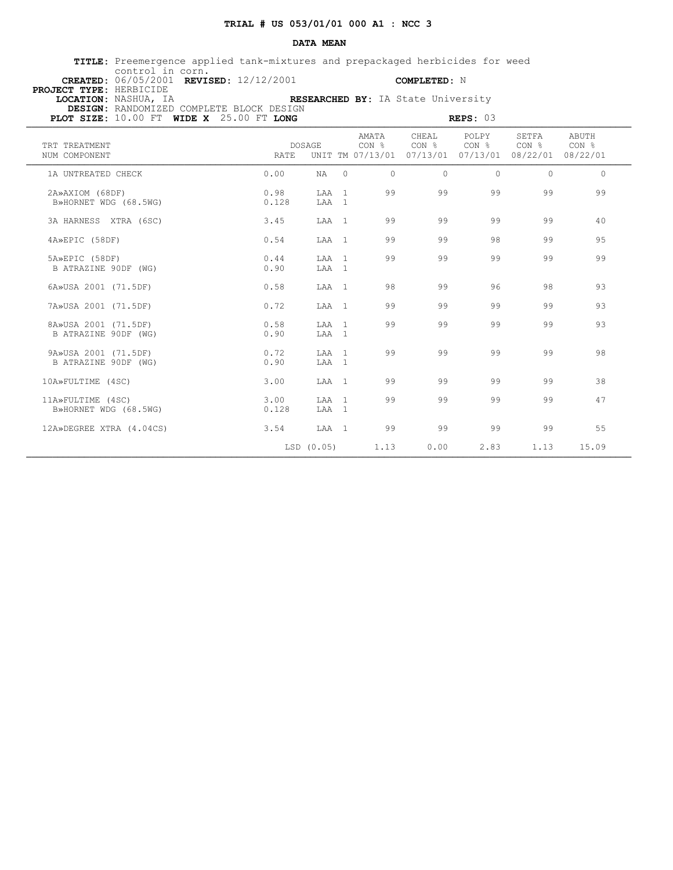# **DATA MEAN**

 **TITLE:** Preemergence applied tank-mixtures and prepackaged herbicides for weed control in corn.  **CREATED:** 06/05/2001 **REVISED:** 12/12/2001 **COMPLETED:** N

 **PROJECT TYPE:** HERBICIDE  **LOCATION:** NASHUA, IA **RESEARCHED BY:** IA State University  **DESIGN:** RANDOMIZED COMPLETE BLOCK DESIGN

| PLOT SIZE: 10.00 FT WIDE X 25.00 FT LONG     |               | REPS: $03$      |                |                                    |                            |                                       |                                                |                |  |
|----------------------------------------------|---------------|-----------------|----------------|------------------------------------|----------------------------|---------------------------------------|------------------------------------------------|----------------|--|
| TRT TREATMENT<br>NUM COMPONENT               | RATE          | <b>DOSAGE</b>   |                | AMATA<br>CON %<br>UNIT TM 07/13/01 | CHEAL<br>CON %<br>07/13/01 | POLPY<br>CON <sub>8</sub><br>07/13/01 | SETFA<br>CON <sub>8</sub><br>08/22/01 08/22/01 | ABUTH<br>CON % |  |
| 1A UNTREATED CHECK                           | 0.00          | NA              | $\Omega$       | $\Omega$                           | $\Omega$                   | $\Omega$                              | $\Omega$                                       | $\Omega$       |  |
| 2A»AXIOM (68DF)<br>B»HORNET WDG (68.5WG)     | 0.98<br>0.128 | LAA<br>LAA 1    | $\overline{1}$ | 99                                 | 99                         | 99                                    | 99                                             | 99             |  |
| 3A HARNESS XTRA (6SC)                        | 3.45          | LAA 1           |                | 99                                 | 99                         | 99                                    | 99                                             | 40             |  |
| 4A»EPIC (58DF)                               | 0.54          | LAA 1           |                | 99                                 | 99                         | 98                                    | 99                                             | 95             |  |
| 5A»EPIC (58DF)<br>B ATRAZINE 90DF (WG)       | 0.44<br>0.90  | LAA 1<br>LAA 1  |                | 99                                 | 99                         | 99                                    | 99                                             | 99             |  |
| 6A»USA 2001 (71.5DF)                         | 0.58          | LAA 1           |                | 98                                 | 99                         | 96                                    | 98                                             | 93             |  |
| 7A»USA 2001 (71.5DF)                         | 0.72          | LAA 1           |                | 99                                 | 99                         | 99                                    | 99                                             | 93             |  |
| 8A»USA 2001 (71.5DF)<br>B ATRAZINE 90DF (WG) | 0.58<br>0.90  | LAA 1<br>LAA 1  |                | 99                                 | 99                         | 99                                    | 99                                             | 93             |  |
| 9A»USA 2001 (71.5DF)<br>B ATRAZINE 90DF (WG) | 0.72<br>0.90  | T.AA 1<br>LAA 1 |                | 99                                 | 99                         | 99                                    | 99                                             | 98             |  |
| 10A»FULTIME (4SC)                            | 3.00          | LAA 1           |                | 99                                 | 99                         | 99                                    | 99                                             | 38             |  |
| 11A»FULTIME (4SC)<br>B»HORNET WDG (68.5WG)   | 3.00<br>0.128 | LAA 1<br>LAA 1  |                | 99                                 | 99                         | 99                                    | 99                                             | 47             |  |
| 12A»DEGREE XTRA (4.04CS)                     | 3.54          | LAA 1           |                | 99                                 | 99                         | 99                                    | 99                                             | 55             |  |
|                                              |               | LSD (0.05)      |                | 1.13                               | 0.00                       | 2.83                                  | 1.13                                           | 15.09          |  |